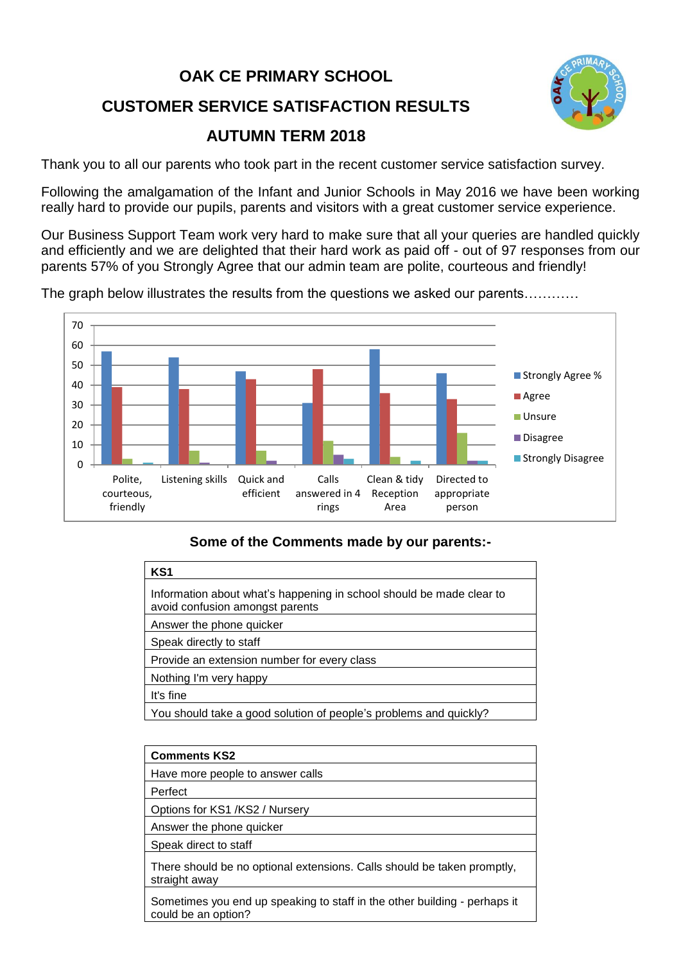## **OAK CE PRIMARY SCHOOL CUSTOMER SERVICE SATISFACTION RESULTS AUTUMN TERM 2018**



Thank you to all our parents who took part in the recent customer service satisfaction survey.

Following the amalgamation of the Infant and Junior Schools in May 2016 we have been working really hard to provide our pupils, parents and visitors with a great customer service experience.

Our Business Support Team work very hard to make sure that all your queries are handled quickly and efficiently and we are delighted that their hard work as paid off - out of 97 responses from our parents 57% of you Strongly Agree that our admin team are polite, courteous and friendly!

The graph below illustrates the results from the questions we asked our parents…………



## **Some of the Comments made by our parents:-**

| KS <sub>1</sub>                                                                                         |
|---------------------------------------------------------------------------------------------------------|
| Information about what's happening in school should be made clear to<br>avoid confusion amongst parents |
| Answer the phone quicker                                                                                |
| Speak directly to staff                                                                                 |
| Provide an extension number for every class                                                             |
| Nothing I'm very happy                                                                                  |
| It's fine                                                                                               |
| You should take a good solution of people's problems and quickly?                                       |
|                                                                                                         |

| <b>Comments KS2</b>                                                                              |
|--------------------------------------------------------------------------------------------------|
| Have more people to answer calls                                                                 |
| Perfect                                                                                          |
| Options for KS1 /KS2 / Nursery                                                                   |
| Answer the phone quicker                                                                         |
| Speak direct to staff                                                                            |
| There should be no optional extensions. Calls should be taken promptly,<br>straight away         |
| Sometimes you end up speaking to staff in the other building - perhaps it<br>could be an option? |